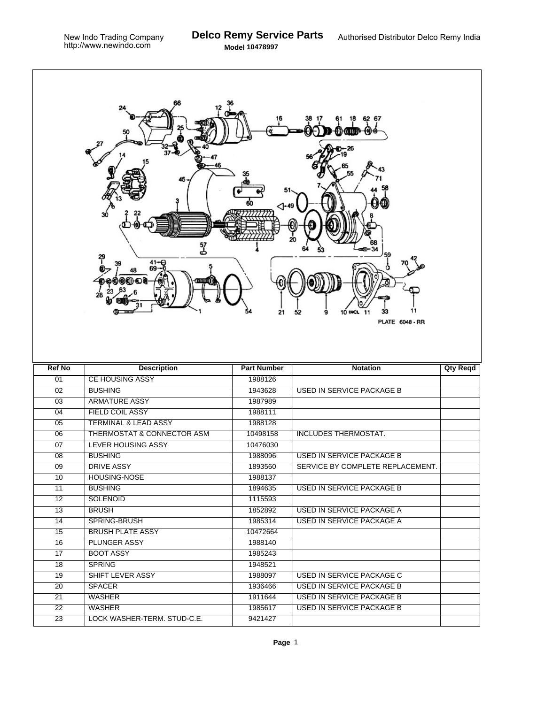٦

| 62 67<br>45<br>⊲-49<br>20<br>37<br>ط<br>$^{41-9}_{69-0}$<br>(00) DU<br>28<br>21<br>10 INCL<br>9<br>52<br>-11<br><b>PLATE 6048 - RR</b> |                                       |                    |                                  |          |  |  |  |  |
|----------------------------------------------------------------------------------------------------------------------------------------|---------------------------------------|--------------------|----------------------------------|----------|--|--|--|--|
| <b>Ref No</b>                                                                                                                          | <b>Description</b>                    | <b>Part Number</b> | <b>Notation</b>                  | Qty Reqd |  |  |  |  |
| 01                                                                                                                                     | <b>CE HOUSING ASSY</b>                | 1988126            |                                  |          |  |  |  |  |
| 02                                                                                                                                     | <b>BUSHING</b>                        | 1943628            | <b>USED IN SERVICE PACKAGE B</b> |          |  |  |  |  |
| $\overline{03}$                                                                                                                        | <b>ARMATURE ASSY</b>                  | 1987989            |                                  |          |  |  |  |  |
| 04                                                                                                                                     | <b>FIELD COIL ASSY</b>                | 1988111            |                                  |          |  |  |  |  |
| 05                                                                                                                                     | <b>TERMINAL &amp; LEAD ASSY</b>       | 1988128            |                                  |          |  |  |  |  |
| 06                                                                                                                                     | <b>THERMOSTAT &amp; CONNECTOR ASM</b> | 10498158           | <b>INCLUDES THERMOSTAT.</b>      |          |  |  |  |  |
| 07                                                                                                                                     | <b>LEVER HOUSING ASSY</b>             | 10476030           |                                  |          |  |  |  |  |
| 08                                                                                                                                     | <b>BUSHING</b>                        | 1988096            | <b>USED IN SERVICE PACKAGE B</b> |          |  |  |  |  |
| 09                                                                                                                                     | <b>DRIVE ASSY</b>                     | 1893560            | SERVICE BY COMPLETE REPLACEMENT. |          |  |  |  |  |
| 10                                                                                                                                     | HOUSING-NOSE                          | 1988137            |                                  |          |  |  |  |  |
| 11                                                                                                                                     | <b>BUSHING</b>                        | 1894635            | <b>USED IN SERVICE PACKAGE B</b> |          |  |  |  |  |
| $\overline{12}$                                                                                                                        | <b>SOLENOID</b>                       | 1115593            |                                  |          |  |  |  |  |
| 13                                                                                                                                     | <b>BRUSH</b>                          | 1852892            | <b>USED IN SERVICE PACKAGE A</b> |          |  |  |  |  |
| $\overline{14}$                                                                                                                        | SPRING-BRUSH                          | 1985314            | USED IN SERVICE PACKAGE A        |          |  |  |  |  |
| 15                                                                                                                                     | <b>BRUSH PLATE ASSY</b>               | 10472664           |                                  |          |  |  |  |  |
| 16                                                                                                                                     | <b>PLUNGER ASSY</b>                   | 1988140            |                                  |          |  |  |  |  |
| 17                                                                                                                                     | <b>BOOT ASSY</b>                      | 1985243            |                                  |          |  |  |  |  |
| 18                                                                                                                                     |                                       |                    |                                  |          |  |  |  |  |
| 19                                                                                                                                     | <b>SPRING</b>                         | 1948521            |                                  |          |  |  |  |  |
|                                                                                                                                        | SHIFT LEVER ASSY                      | 1988097            | USED IN SERVICE PACKAGE C        |          |  |  |  |  |
| 20                                                                                                                                     | <b>SPACER</b>                         | 1936466            | <b>USED IN SERVICE PACKAGE B</b> |          |  |  |  |  |
| $\overline{21}$                                                                                                                        | <b>WASHER</b>                         | 1911644            | USED IN SERVICE PACKAGE B        |          |  |  |  |  |
| 22                                                                                                                                     | <b>WASHER</b>                         | 1985617            | USED IN SERVICE PACKAGE B        |          |  |  |  |  |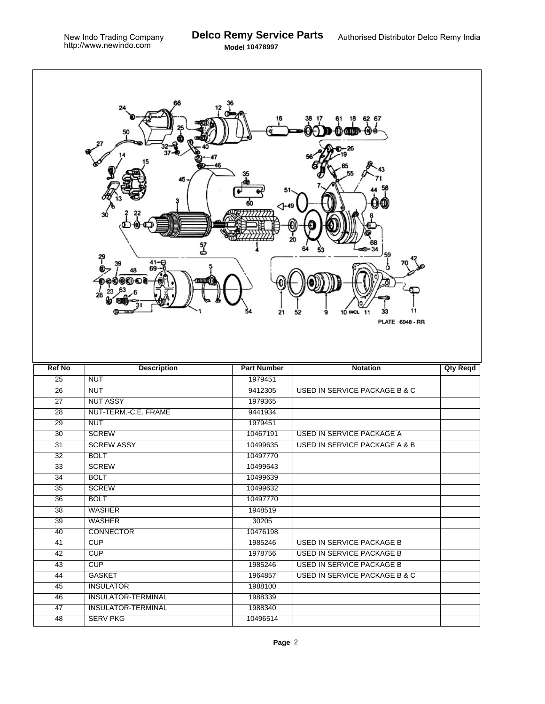Г

|                 | 57<br>군<br>41-€<br>28                        | 21                  | 6267<br>11<br>10 INCL<br>33<br>52<br>9<br>11<br><b>PLATE 6048 - RR</b> |                 |
|-----------------|----------------------------------------------|---------------------|------------------------------------------------------------------------|-----------------|
| <b>Ref No</b>   | <b>Description</b>                           | <b>Part Number</b>  | <b>Notation</b>                                                        | <b>Qty Reqd</b> |
| $\overline{25}$ | <b>NUT</b>                                   | 1979451             |                                                                        |                 |
| $\overline{26}$ | <b>NUT</b>                                   | 9412305             | <b>USED IN SERVICE PACKAGE B &amp; C</b>                               |                 |
| $\overline{27}$ | <b>NUT ASSY</b>                              | 1979365             |                                                                        |                 |
| $\overline{28}$ | NUT-TERM.-C.E. FRAME                         | 9441934             |                                                                        |                 |
| 29              | <b>NUT</b>                                   | 1979451             |                                                                        |                 |
| 30              | <b>SCREW</b>                                 | 10467191            | <b>USED IN SERVICE PACKAGE A</b>                                       |                 |
| 31              | <b>SCREW ASSY</b>                            | 10499635            | <b>USED IN SERVICE PACKAGE A &amp; B</b>                               |                 |
| 32              | <b>BOLT</b>                                  | 10497770            |                                                                        |                 |
| $\overline{33}$ | <b>SCREW</b>                                 | 10499643            |                                                                        |                 |
| 34              | <b>BOLT</b>                                  | 10499639            |                                                                        |                 |
| 35              | <b>SCREW</b>                                 | 10499632            |                                                                        |                 |
| 36              | <b>BOLT</b>                                  | 10497770            |                                                                        |                 |
| 38              | <b>WASHER</b>                                | 1948519             |                                                                        |                 |
| 39              | <b>WASHER</b>                                |                     |                                                                        |                 |
| 40              |                                              | 30205               |                                                                        |                 |
| 41              | <b>CONNECTOR</b>                             | 10476198            |                                                                        |                 |
|                 | CUP                                          | 1985246             | <b>USED IN SERVICE PACKAGE B</b>                                       |                 |
| 42              | CUP                                          | 1978756             | <b>USED IN SERVICE PACKAGE B</b>                                       |                 |
| 43              | CUP                                          | 1985246             | USED IN SERVICE PACKAGE B                                              |                 |
| 44              | GASKET                                       | 1964857             | <b>USED IN SERVICE PACKAGE B &amp; C</b>                               |                 |
| 45              | <b>INSULATOR</b>                             | 1988100             |                                                                        |                 |
| 46              | <b>INSULATOR-TERMINAL</b>                    | 1988339             |                                                                        |                 |
| 47<br>48        | <b>INSULATOR-TERMINAL</b><br><b>SERV PKG</b> | 1988340<br>10496514 |                                                                        |                 |